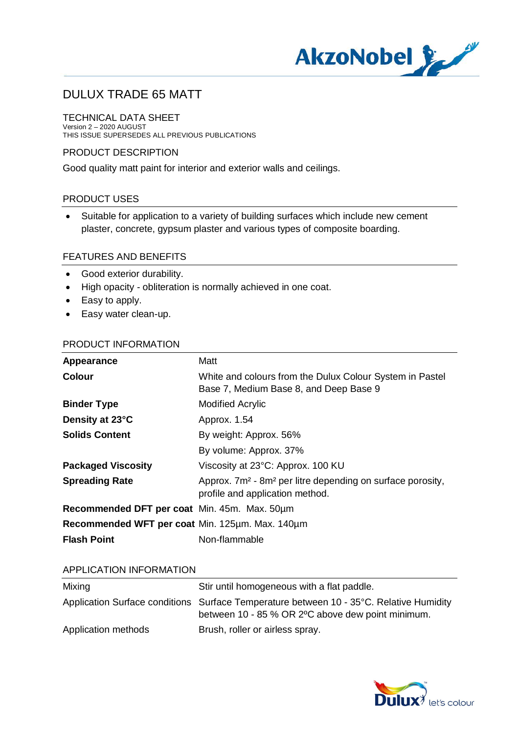

#### TECHNICAL DATA SHEET Version 2 – 2020 AUGUST THIS ISSUE SUPERSEDES ALL PREVIOUS PUBLICATIONS

## PRODUCT DESCRIPTION

Good quality matt paint for interior and exterior walls and ceilings.

## PRODUCT USES

· Suitable for application to a variety of building surfaces which include new cement plaster, concrete, gypsum plaster and various types of composite boarding.

### FEATURES AND BENEFITS

- · Good exterior durability.
- · High opacity obliteration is normally achieved in one coat.
- · Easy to apply.
- · Easy water clean-up.

### PRODUCT INFORMATION

| Appearance                                      | Matt                                                                                                                  |
|-------------------------------------------------|-----------------------------------------------------------------------------------------------------------------------|
| <b>Colour</b>                                   | White and colours from the Dulux Colour System in Pastel<br>Base 7, Medium Base 8, and Deep Base 9                    |
| <b>Binder Type</b>                              | <b>Modified Acrylic</b>                                                                                               |
| Density at 23°C                                 | Approx. 1.54                                                                                                          |
| <b>Solids Content</b>                           | By weight: Approx. 56%                                                                                                |
|                                                 | By volume: Approx. 37%                                                                                                |
| <b>Packaged Viscosity</b>                       | Viscosity at 23°C: Approx. 100 KU                                                                                     |
| <b>Spreading Rate</b>                           | Approx. 7m <sup>2</sup> - 8m <sup>2</sup> per litre depending on surface porosity,<br>profile and application method. |
| Recommended DFT per coat Min. 45m. Max. 50um    |                                                                                                                       |
| Recommended WFT per coat Min. 125µm. Max. 140µm |                                                                                                                       |
| <b>Flash Point</b>                              | Non-flammable                                                                                                         |

### APPLICATION INFORMATION

| Mixing              | Stir until homogeneous with a flat paddle.                                                                                                   |
|---------------------|----------------------------------------------------------------------------------------------------------------------------------------------|
|                     | Application Surface conditions Surface Temperature between 10 - 35°C. Relative Humidity<br>between 10 - 85 % OR 2°C above dew point minimum. |
|                     |                                                                                                                                              |
| Application methods | Brush, roller or airless spray.                                                                                                              |

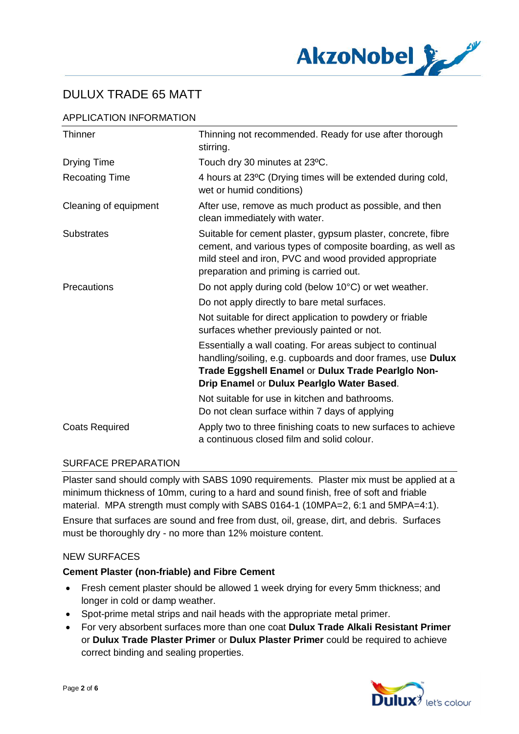

## APPLICATION INFORMATION

| <b>Thinner</b>        | Thinning not recommended. Ready for use after thorough<br>stirring.                                                                                                                                                              |
|-----------------------|----------------------------------------------------------------------------------------------------------------------------------------------------------------------------------------------------------------------------------|
| <b>Drying Time</b>    | Touch dry 30 minutes at 23°C.                                                                                                                                                                                                    |
| <b>Recoating Time</b> | 4 hours at 23°C (Drying times will be extended during cold,<br>wet or humid conditions)                                                                                                                                          |
| Cleaning of equipment | After use, remove as much product as possible, and then<br>clean immediately with water.                                                                                                                                         |
| <b>Substrates</b>     | Suitable for cement plaster, gypsum plaster, concrete, fibre<br>cement, and various types of composite boarding, as well as<br>mild steel and iron, PVC and wood provided appropriate<br>preparation and priming is carried out. |
| Precautions           | Do not apply during cold (below 10°C) or wet weather.                                                                                                                                                                            |
|                       | Do not apply directly to bare metal surfaces.                                                                                                                                                                                    |
|                       | Not suitable for direct application to powdery or friable<br>surfaces whether previously painted or not.                                                                                                                         |
|                       | Essentially a wall coating. For areas subject to continual<br>handling/soiling, e.g. cupboards and door frames, use Dulux<br>Trade Eggshell Enamel or Dulux Trade Pearigio Non-<br>Drip Enamel or Dulux Pearlglo Water Based.    |
|                       | Not suitable for use in kitchen and bathrooms.<br>Do not clean surface within 7 days of applying                                                                                                                                 |
| <b>Coats Required</b> | Apply two to three finishing coats to new surfaces to achieve<br>a continuous closed film and solid colour.                                                                                                                      |

### SURFACE PREPARATION

Plaster sand should comply with SABS 1090 requirements. Plaster mix must be applied at a minimum thickness of 10mm, curing to a hard and sound finish, free of soft and friable material. MPA strength must comply with SABS 0164-1 (10MPA=2, 6:1 and 5MPA=4:1). Ensure that surfaces are sound and free from dust, oil, grease, dirt, and debris. Surfaces must be thoroughly dry - no more than 12% moisture content.

### NEW SURFACES

### **Cement Plaster (non-friable) and Fibre Cement**

- · Fresh cement plaster should be allowed 1 week drying for every 5mm thickness; and longer in cold or damp weather.
- · Spot-prime metal strips and nail heads with the appropriate metal primer.
- · For very absorbent surfaces more than one coat **Dulux Trade Alkali Resistant Primer** or **Dulux Trade Plaster Primer** or **Dulux Plaster Primer** could be required to achieve correct binding and sealing properties.

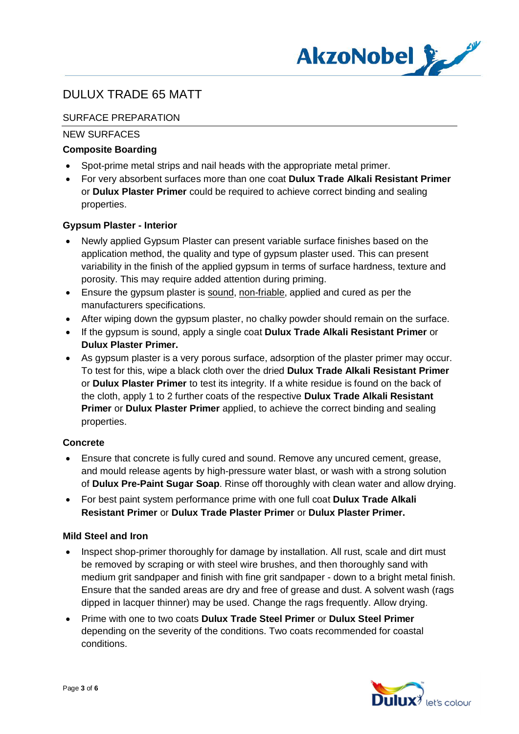

## SURFACE PREPARATION

## NEW SURFACES

## **Composite Boarding**

- · Spot-prime metal strips and nail heads with the appropriate metal primer.
- · For very absorbent surfaces more than one coat **Dulux Trade Alkali Resistant Primer** or **Dulux Plaster Primer** could be required to achieve correct binding and sealing properties.

### **Gypsum Plaster - Interior**

- Newly applied Gypsum Plaster can present variable surface finishes based on the application method, the quality and type of gypsum plaster used. This can present variability in the finish of the applied gypsum in terms of surface hardness, texture and porosity. This may require added attention during priming.
- · Ensure the gypsum plaster is sound, non-friable, applied and cured as per the manufacturers specifications.
- After wiping down the gypsum plaster, no chalky powder should remain on the surface.
- · If the gypsum is sound, apply a single coat **Dulux Trade Alkali Resistant Primer** or **Dulux Plaster Primer.**
- · As gypsum plaster is a very porous surface, adsorption of the plaster primer may occur. To test for this, wipe a black cloth over the dried **Dulux Trade Alkali Resistant Primer** or **Dulux Plaster Primer** to test its integrity. If a white residue is found on the back of the cloth, apply 1 to 2 further coats of the respective **Dulux Trade Alkali Resistant Primer** or **Dulux Plaster Primer** applied, to achieve the correct binding and sealing properties.

### **Concrete**

- · Ensure that concrete is fully cured and sound. Remove any uncured cement, grease, and mould release agents by high-pressure water blast, or wash with a strong solution of **Dulux Pre-Paint Sugar Soap**. Rinse off thoroughly with clean water and allow drying.
- · For best paint system performance prime with one full coat **Dulux Trade Alkali Resistant Primer** or **Dulux Trade Plaster Primer** or **Dulux Plaster Primer.**

### **Mild Steel and Iron**

- Inspect shop-primer thoroughly for damage by installation. All rust, scale and dirt must be removed by scraping or with steel wire brushes, and then thoroughly sand with medium grit sandpaper and finish with fine grit sandpaper - down to a bright metal finish. Ensure that the sanded areas are dry and free of grease and dust. A solvent wash (rags dipped in lacquer thinner) may be used. Change the rags frequently. Allow drying.
- · Prime with one to two coats **Dulux Trade Steel Primer** or **Dulux Steel Primer** depending on the severity of the conditions. Two coats recommended for coastal conditions.

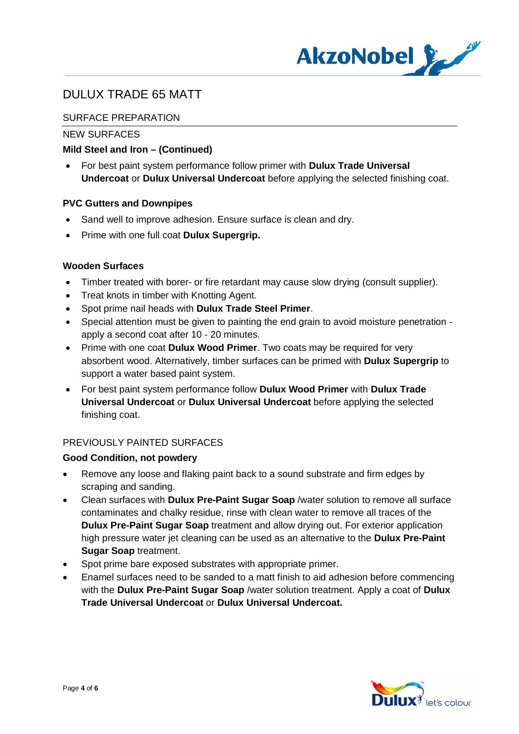

## SURFACE PREPARATION

## NEW SURFACES

## **Mild Steel and Iron – (Continued)**

· For best paint system performance follow primer with **Dulux Trade Universal Undercoat** or **Dulux Universal Undercoat** before applying the selected finishing coat.

### **PVC Gutters and Downpipes**

- Sand well to improve adhesion. Ensure surface is clean and dry.
- · Prime with one full coat **Dulux Supergrip.**

### **Wooden Surfaces**

- · Timber treated with borer- or fire retardant may cause slow drying (consult supplier).
- Treat knots in timber with Knotting Agent.
- · Spot prime nail heads with **Dulux Trade Steel Primer**.
- · Special attention must be given to painting the end grain to avoid moisture penetration apply a second coat after 10 - 20 minutes.
- · Prime with one coat **Dulux Wood Primer**. Two coats may be required for very absorbent wood. Alternatively, timber surfaces can be primed with **Dulux Supergrip** to support a water based paint system.
- · For best paint system performance follow **Dulux Wood Primer** with **Dulux Trade Universal Undercoat** or **Dulux Universal Undercoat** before applying the selected finishing coat.

### PREVIOUSLY PAINTED SURFACES

### **Good Condition, not powdery**

- · Remove any loose and flaking paint back to a sound substrate and firm edges by scraping and sanding.
- · Clean surfaces with **Dulux Pre-Paint Sugar Soap** /water solution to remove all surface contaminates and chalky residue, rinse with clean water to remove all traces of the **Dulux Pre-Paint Sugar Soap** treatment and allow drying out. For exterior application high pressure water jet cleaning can be used as an alternative to the **Dulux Pre-Paint Sugar Soap** treatment.
- · Spot prime bare exposed substrates with appropriate primer.
- · Enamel surfaces need to be sanded to a matt finish to aid adhesion before commencing with the **Dulux Pre-Paint Sugar Soap** /water solution treatment. Apply a coat of **Dulux Trade Universal Undercoat** or **Dulux Universal Undercoat.**

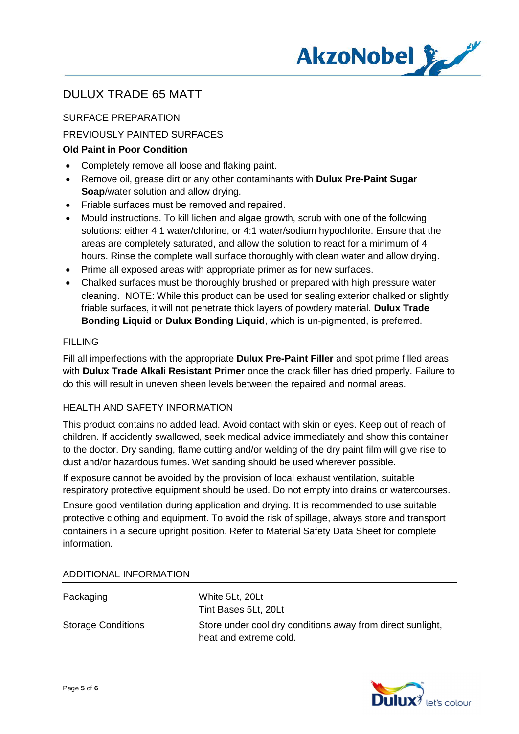

## SURFACE PREPARATION

## PREVIOUSLY PAINTED SURFACES

## **Old Paint in Poor Condition**

- · Completely remove all loose and flaking paint.
- · Remove oil, grease dirt or any other contaminants with **Dulux Pre-Paint Sugar Soap**/water solution and allow drying.
- · Friable surfaces must be removed and repaired.
- · Mould instructions. To kill lichen and algae growth, scrub with one of the following solutions: either 4:1 water/chlorine, or 4:1 water/sodium hypochlorite. Ensure that the areas are completely saturated, and allow the solution to react for a minimum of 4 hours. Rinse the complete wall surface thoroughly with clean water and allow drying.
- · Prime all exposed areas with appropriate primer as for new surfaces.
- · Chalked surfaces must be thoroughly brushed or prepared with high pressure water cleaning. NOTE: While this product can be used for sealing exterior chalked or slightly friable surfaces, it will not penetrate thick layers of powdery material. **Dulux Trade Bonding Liquid** or **Dulux Bonding Liquid**, which is un-pigmented, is preferred.

## FILLING

Fill all imperfections with the appropriate **Dulux Pre-Paint Filler** and spot prime filled areas with **Dulux Trade Alkali Resistant Primer** once the crack filler has dried properly. Failure to do this will result in uneven sheen levels between the repaired and normal areas.

### HEALTH AND SAFETY INFORMATION

This product contains no added lead. Avoid contact with skin or eyes. Keep out of reach of children. If accidently swallowed, seek medical advice immediately and show this container to the doctor. Dry sanding, flame cutting and/or welding of the dry paint film will give rise to dust and/or hazardous fumes. Wet sanding should be used wherever possible.

If exposure cannot be avoided by the provision of local exhaust ventilation, suitable respiratory protective equipment should be used. Do not empty into drains or watercourses.

Ensure good ventilation during application and drying. It is recommended to use suitable protective clothing and equipment. To avoid the risk of spillage, always store and transport containers in a secure upright position. Refer to Material Safety Data Sheet for complete information.

| Packaging                 | White 5Lt, 20Lt<br>Tint Bases 5Lt, 20Lt                                              |
|---------------------------|--------------------------------------------------------------------------------------|
| <b>Storage Conditions</b> | Store under cool dry conditions away from direct sunlight,<br>heat and extreme cold. |

### ADDITIONAL INFORMATION